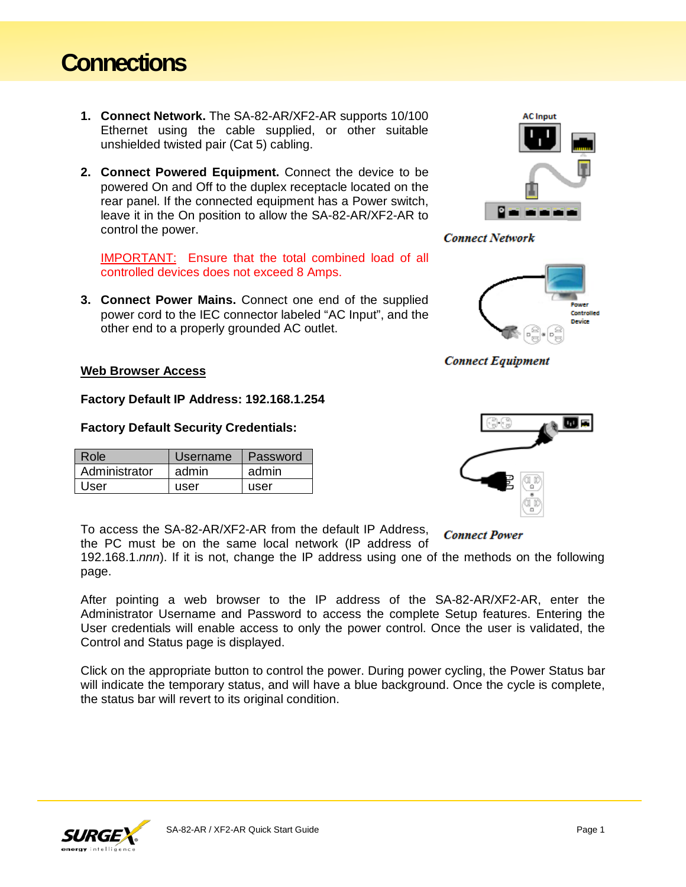## **Connections**

- **1. Connect Network.** The SA-82-AR/XF2-AR supports 10/100 Ethernet using the cable supplied, or other suitable unshielded twisted pair (Cat 5) cabling.
- **2. Connect Powered Equipment.** Connect the device to be powered On and Off to the duplex receptacle located on the rear panel. If the connected equipment has a Power switch, leave it in the On position to allow the SA-82-AR/XF2-AR to control the power.

IMPORTANT: Ensure that the total combined load of all controlled devices does not exceed 8 Amps.

**3. Connect Power Mains.** Connect one end of the supplied power cord to the IEC connector labeled "AC Input", and the other end to a properly grounded AC outlet.



**Connect Network** 



**Connect Equipment** 

## **Web Browser Access**

**Factory Default IP Address: 192.168.1.254**

## **Factory Default Security Credentials:**

| Role          | Username | Password |
|---------------|----------|----------|
| Administrator | admin    | admin    |
| User          | user     | user     |

To access the SA-82-AR/XF2-AR from the default IP Address, the PC must be on the same local network (IP address of



**Connect Power** 

192.168.1.*nnn*). If it is not, change the IP address using one of the methods on the following page.

After pointing a web browser to the IP address of the SA-82-AR/XF2-AR, enter the Administrator Username and Password to access the complete Setup features. Entering the User credentials will enable access to only the power control. Once the user is validated, the Control and Status page is displayed.

Click on the appropriate button to control the power. During power cycling, the Power Status bar will indicate the temporary status, and will have a blue background. Once the cycle is complete, the status bar will revert to its original condition.